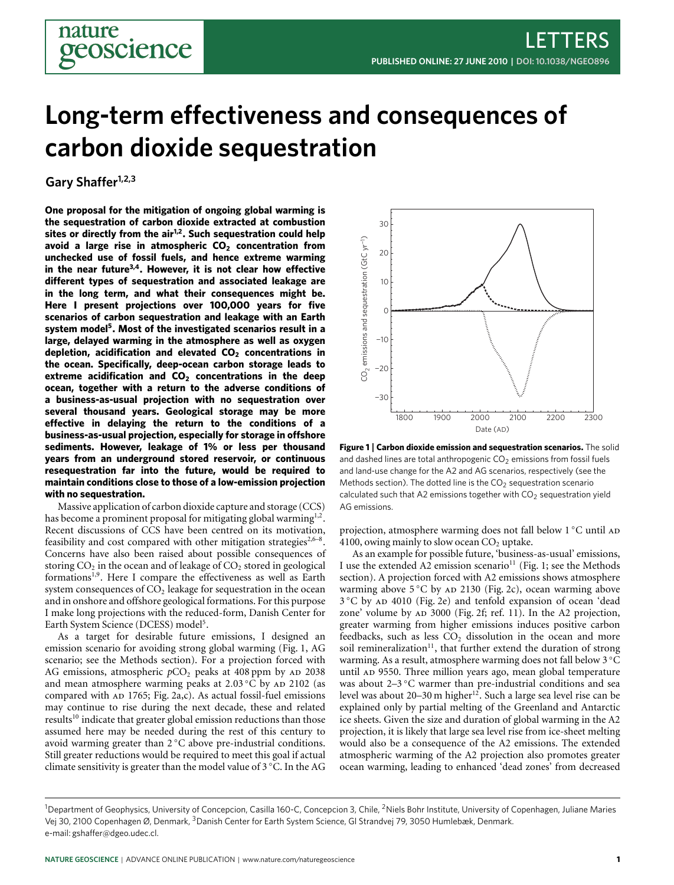# **Long-term effectiveness and consequences of carbon dioxide sequestration**

**Gary Shaffer1,2,3**

eoscience

**One proposal for the mitigation of ongoing global warming is the sequestration of carbon dioxide extracted at combustion sites or directly from the air[1,](#page-3-0)[2](#page-3-1) . Such sequestration could help avoid a large rise in atmospheric CO<sup>2</sup> concentration from unchecked use of fossil fuels, and hence extreme warming in the near future[3](#page-3-2)[,4](#page-3-3) . However, it is not clear how effective different types of sequestration and associated leakage are in the long term, and what their consequences might be. Here I present projections over 100,000 years for five scenarios of carbon sequestration and leakage with an Earth system model[5](#page-3-4) . Most of the investigated scenarios result in a large, delayed warming in the atmosphere as well as oxygen depletion, acidification and elevated CO<sup>2</sup> concentrations in the ocean. Specifically, deep-ocean carbon storage leads to extreme acidification and CO<sup>2</sup> concentrations in the deep ocean, together with a return to the adverse conditions of a business-as-usual projection with no sequestration over several thousand years. Geological storage may be more effective in delaying the return to the conditions of a business-as-usual projection, especially for storage in offshore sediments. However, leakage of 1% or less per thousand years from an underground stored reservoir, or continuous resequestration far into the future, would be required to maintain conditions close to those of a low-emission projection with no sequestration.** avoid a large rise in a throspheric CO<sub>2</sub> concentration from<br>in the near future<sup>19</sup>. However, it is not clare how effective<br>different types of sequestration and associated leakage are<br>in the host list in the clare how effe

Massive application of carbon dioxide capture and storage (CCS) has become a prominent proposal for mitigating global warming $^{1,2}.$  $^{1,2}.$  $^{1,2}.$  $^{1,2}.$ Recent discussions of CCS have been centred on its motivation, feasibility and cost compared with other mitigation strategies<sup>[2,](#page-3-1)6-[8](#page-3-6)</sup>. Concerns have also been raised about possible consequences of storing  $CO<sub>2</sub>$  in the ocean and of leakage of  $CO<sub>2</sub>$  stored in geological formations<sup>[1](#page-3-0)[,9](#page-3-7)</sup>. Here I compare the effectiveness as well as Earth system consequences of  $CO<sub>2</sub>$  leakage for sequestration in the ocean and in onshore and offshore geological formations. For this purpose I make long projections with the reduced-form, Danish Center for Earth System Science (DCESS) model<sup>[5](#page-3-4)</sup>.

As a target for desirable future emissions, I designed an emission scenario for avoiding strong global warming [\(Fig.](#page-0-0) [1,](#page-0-0) AG scenario; see the Methods section). For a projection forced with AG emissions, atmospheric  $pCO<sub>2</sub>$  peaks at 408 ppm by AD 2038 and mean atmosphere warming peaks at  $2.03\degree$ C by AD 2102 (as compared with  $AD$  1765; [Fig.](#page-1-0) [2a](#page-1-0),c). As actual fossil-fuel emissions may continue to rise during the next decade, these and related results<sup>[10](#page-3-8)</sup> indicate that greater global emission reductions than those assumed here may be needed during the rest of this century to avoid warming greater than 2 ◦C above pre-industrial conditions. Still greater reductions would be required to meet this goal if actual climate sensitivity is greater than the model value of 3 ◦C. In the AG



<span id="page-0-0"></span>**Figure 1** | **Carbon dioxide emission and sequestration scenarios.** The solid and dashed lines are total anthropogenic  $CO<sub>2</sub>$  emissions from fossil fuels and land-use change for the A2 and AG scenarios, respectively (see the Methods section). The dotted line is the  $CO<sub>2</sub>$  sequestration scenario calculated such that A2 emissions together with  $CO<sub>2</sub>$  sequestration yield AG emissions.

projection, atmosphere warming does not fall below 1 ℃ until AD 4100, owing mainly to slow ocean  $CO<sub>2</sub>$  uptake.

As an example for possible future, 'business-as-usual' emissions, I use the extended A2 emission scenario<sup>[11](#page-3-9)</sup> [\(Fig.](#page-0-0) [1;](#page-0-0) see the Methods section). A projection forced with A2 emissions shows atmosphere warming above  $5^{\circ}$ C by AD 2130 [\(Fig.](#page-1-0) [2c](#page-1-0)), ocean warming above 3 °C by AD 4010 [\(Fig.](#page-1-0) [2e](#page-1-0)) and tenfold expansion of ocean 'dead zone' volume by AD 3000 [\(Fig.](#page-1-0) [2f](#page-1-0); ref. [11\)](#page-3-9). In the A2 projection, greater warming from higher emissions induces positive carbon feedbacks, such as less  $CO<sub>2</sub>$  dissolution in the ocean and more soil remineralization<sup>[11](#page-3-9)</sup>, that further extend the duration of strong warming. As a result, atmosphere warming does not fall below 3 ◦C until AD 9550. Three million years ago, mean global temperature was about 2–3 ℃ warmer than pre-industrial conditions and sea level was about 20–30 m higher<sup>[12](#page-3-10)</sup>. Such a large sea level rise can be explained only by partial melting of the Greenland and Antarctic ice sheets. Given the size and duration of global warming in the A2 projection, it is likely that large sea level rise from ice-sheet melting would also be a consequence of the A2 emissions. The extended atmospheric warming of the A2 projection also promotes greater ocean warming, leading to enhanced 'dead zones' from decreased

<sup>&</sup>lt;sup>1</sup>Department of Geophysics, University of Concepcion, Casilla 160-C, Concepcion 3, Chile, <sup>2</sup>Niels Bohr Institute, University of Copenhagen, Juliane Maries Vej 30, 2100 Copenhagen Ø, Denmark, <sup>3</sup>Danish Center for Earth System Science, Gl Strandvej 79, 3050 Humlebæk, Denmark.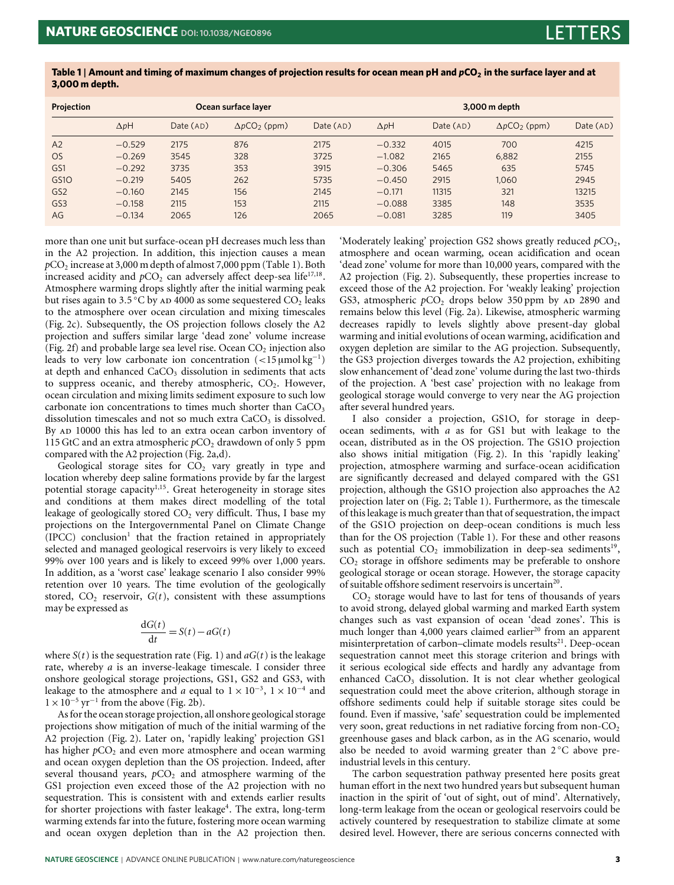| Projection       | Ocean surface layer |          |                      |          | 3,000 m depth |          |                                  |          |
|------------------|---------------------|----------|----------------------|----------|---------------|----------|----------------------------------|----------|
|                  | $\Delta pH$         | Date(AD) | $\Delta pCO_2$ (ppm) | Date(AD) | $\Delta pH$   | Date(AD) | $\Delta p$ CO <sub>2</sub> (ppm) | Date(AD) |
| A <sub>2</sub>   | $-0.529$            | 2175     | 876                  | 2175     | $-0.332$      | 4015     | 700                              | 4215     |
| <b>OS</b>        | $-0.269$            | 3545     | 328                  | 3725     | $-1.082$      | 2165     | 6.882                            | 2155     |
| GS1              | $-0.292$            | 3735     | 353                  | 3915     | $-0.306$      | 5465     | 635                              | 5745     |
| GS <sub>10</sub> | $-0.219$            | 5405     | 262                  | 5735     | $-0.450$      | 2915     | 1.060                            | 2945     |
| GS <sub>2</sub>  | $-0.160$            | 2145     | 156                  | 2145     | $-0.171$      | 11315    | 321                              | 13215    |
| GS <sub>3</sub>  | $-0.158$            | 2115     | 153                  | 2115     | $-0.088$      | 3385     | 148                              | 3535     |
| AG               | $-0.134$            | 2065     | 126                  | 2065     | $-0.081$      | 3285     | 119                              | 3405     |

<span id="page-2-0"></span>**Table 1** | **Amount and timing of maximum changes of projection results for ocean mean pH and** *p***CO<sup>2</sup> in the surface layer and at 3,000 m depth.**

more than one unit but surface-ocean pH decreases much less than in the A2 projection. In addition, this injection causes a mean *p*CO<sup>2</sup> increase at 3,000 m depth of almost 7,000 ppm [\(Table](#page-2-0) [1\)](#page-2-0). Both increased acidity and  $pCO<sub>2</sub>$  can adversely affect deep-sea life<sup>[17,](#page-3-11)[18](#page-3-12)</sup>. Atmosphere warming drops slightly after the initial warming peak but rises again to 3.5  $^{\circ} \text{C}$  by an 4000 as some sequestered CO<sub>2</sub> leaks to the atmosphere over ocean circulation and mixing timescales [\(Fig.](#page-1-0) [2c](#page-1-0)). Subsequently, the OS projection follows closely the A2 projection and suffers similar large 'dead zone' volume increase [\(Fig.](#page-1-0) [2f](#page-1-0)) and probable large sea level rise. Ocean  $CO<sub>2</sub>$  injection also leads to very low carbonate ion concentration  $(<15 \mu mol kg^{-1})$ at depth and enhanced CaCO<sub>3</sub> dissolution in sediments that acts to suppress oceanic, and thereby atmospheric,  $CO<sub>2</sub>$ . However, ocean circulation and mixing limits sediment exposure to such low carbonate ion concentrations to times much shorter than  $CaCO<sub>3</sub>$ dissolution timescales and not so much extra  $CaCO<sub>3</sub>$  is dissolved. By AD 10000 this has led to an extra ocean carbon inventory of 115 GtC and an extra atmospheric  $pCO<sub>2</sub>$  drawdown of only 5 ppm compared with the A2 projection [\(Fig.](#page-1-0) [2a](#page-1-0),d).

Geological storage sites for  $CO<sub>2</sub>$  vary greatly in type and location whereby deep saline formations provide by far the largest potential storage capacity<sup>[1](#page-3-0)[,15](#page-3-13)</sup>. Great heterogeneity in storage sites and conditions at them makes direct modelling of the total leakage of geologically stored  $CO<sub>2</sub>$  very difficult. Thus, I base my projections on the Intergovernmental Panel on Climate Change (IPCC) conclusion<sup>[1](#page-3-0)</sup> that the fraction retained in appropriately selected and managed geological reservoirs is very likely to exceed 99% over 100 years and is likely to exceed 99% over 1,000 years. In addition, as a 'worst case' leakage scenario I also consider 99% retention over 10 years. The time evolution of the geologically stored,  $CO<sub>2</sub>$  reservoir,  $G(t)$ , consistent with these assumptions may be expressed as

$$
\frac{dG(t)}{dt} = S(t) - aG(t)
$$

where  $S(t)$  is the sequestration rate [\(Fig.](#page-0-0) [1\)](#page-0-0) and  $aG(t)$  is the leakage rate, whereby *a* is an inverse-leakage timescale. I consider three onshore geological storage projections, GS1, GS2 and GS3, with leakage to the atmosphere and *a* equal to  $1 \times 10^{-3}$ ,  $1 \times 10^{-4}$  and  $1 \times 10^{-5}$  yr<sup>-1</sup> from the above [\(Fig.](#page-1-0) [2b](#page-1-0)).

As for the ocean storage projection, all onshore geological storage projections show mitigation of much of the initial warming of the A2 projection [\(Fig.](#page-1-0) [2\)](#page-1-0). Later on, 'rapidly leaking' projection GS1 has higher  $pCO<sub>2</sub>$  and even more atmosphere and ocean warming and ocean oxygen depletion than the OS projection. Indeed, after several thousand years,  $pCO<sub>2</sub>$  and atmosphere warming of the GS1 projection even exceed those of the A2 projection with no sequestration. This is consistent with and extends earlier results for shorter projections with faster leakage<sup>[4](#page-3-3)</sup>. The extra, long-term warming extends far into the future, fostering more ocean warming and ocean oxygen depletion than in the A2 projection then.

'Moderately leaking' projection GS2 shows greatly reduced  $pCO<sub>2</sub>$ , atmosphere and ocean warming, ocean acidification and ocean 'dead zone' volume for more than 10,000 years, compared with the A2 projection [\(Fig.](#page-1-0) [2\)](#page-1-0). Subsequently, these properties increase to exceed those of the A2 projection. For 'weakly leaking' projection GS3, atmospheric  $pCO<sub>2</sub>$  drops below 350 ppm by  $AD$  2890 and remains below this level [\(Fig.](#page-1-0) [2a](#page-1-0)). Likewise, atmospheric warming decreases rapidly to levels slightly above present-day global warming and initial evolutions of ocean warming, acidification and oxygen depletion are similar to the AG projection. Subsequently, the GS3 projection diverges towards the A2 projection, exhibiting slow enhancement of 'dead zone' volume during the last two-thirds of the projection. A 'best case' projection with no leakage from geological storage would converge to very near the AG projection after several hundred years.

I also consider a projection, GS1O, for storage in deepocean sediments, with *a* as for GS1 but with leakage to the ocean, distributed as in the OS projection. The GS1O projection also shows initial mitigation [\(Fig.](#page-1-0) [2\)](#page-1-0). In this 'rapidly leaking' projection, atmosphere warming and surface-ocean acidification are significantly decreased and delayed compared with the GS1 projection, although the GS1O projection also approaches the A2 projection later on [\(Fig.](#page-1-0) [2;](#page-1-0) [Table](#page-2-0) [1\)](#page-2-0). Furthermore, as the timescale of this leakage is much greater than that of sequestration, the impact of the GS1O projection on deep-ocean conditions is much less than for the OS projection [\(Table](#page-2-0) [1\)](#page-2-0). For these and other reasons such as potential  $CO<sub>2</sub>$  immobilization in deep-sea sediments<sup>[19](#page-3-14)</sup>,  $CO<sub>2</sub>$  storage in offshore sediments may be preferable to onshore geological storage or ocean storage. However, the storage capacity of suitable offshore sediment reservoirs is uncertain<sup>[20](#page-3-15)</sup>.

 $CO<sub>2</sub>$  storage would have to last for tens of thousands of years to avoid strong, delayed global warming and marked Earth system changes such as vast expansion of ocean 'dead zones'. This is much longer than  $4,000$  years claimed earlier<sup>[20](#page-3-15)</sup> from an apparent misinterpretation of carbon–climate models results<sup>[21](#page-3-16)</sup>. Deep-ocean sequestration cannot meet this storage criterion and brings with it serious ecological side effects and hardly any advantage from enhanced  $CaCO<sub>3</sub>$  dissolution. It is not clear whether geological sequestration could meet the above criterion, although storage in offshore sediments could help if suitable storage sites could be found. Even if massive, 'safe' sequestration could be implemented very soon, great reductions in net radiative forcing from non-CO<sub>2</sub> greenhouse gases and black carbon, as in the AG scenario, would also be needed to avoid warming greater than 2 °C above preindustrial levels in this century.

The carbon sequestration pathway presented here posits great human effort in the next two hundred years but subsequent human inaction in the spirit of 'out of sight, out of mind'. Alternatively, long-term leakage from the ocean or geological reservoirs could be actively countered by resequestration to stabilize climate at some desired level. However, there are serious concerns connected with